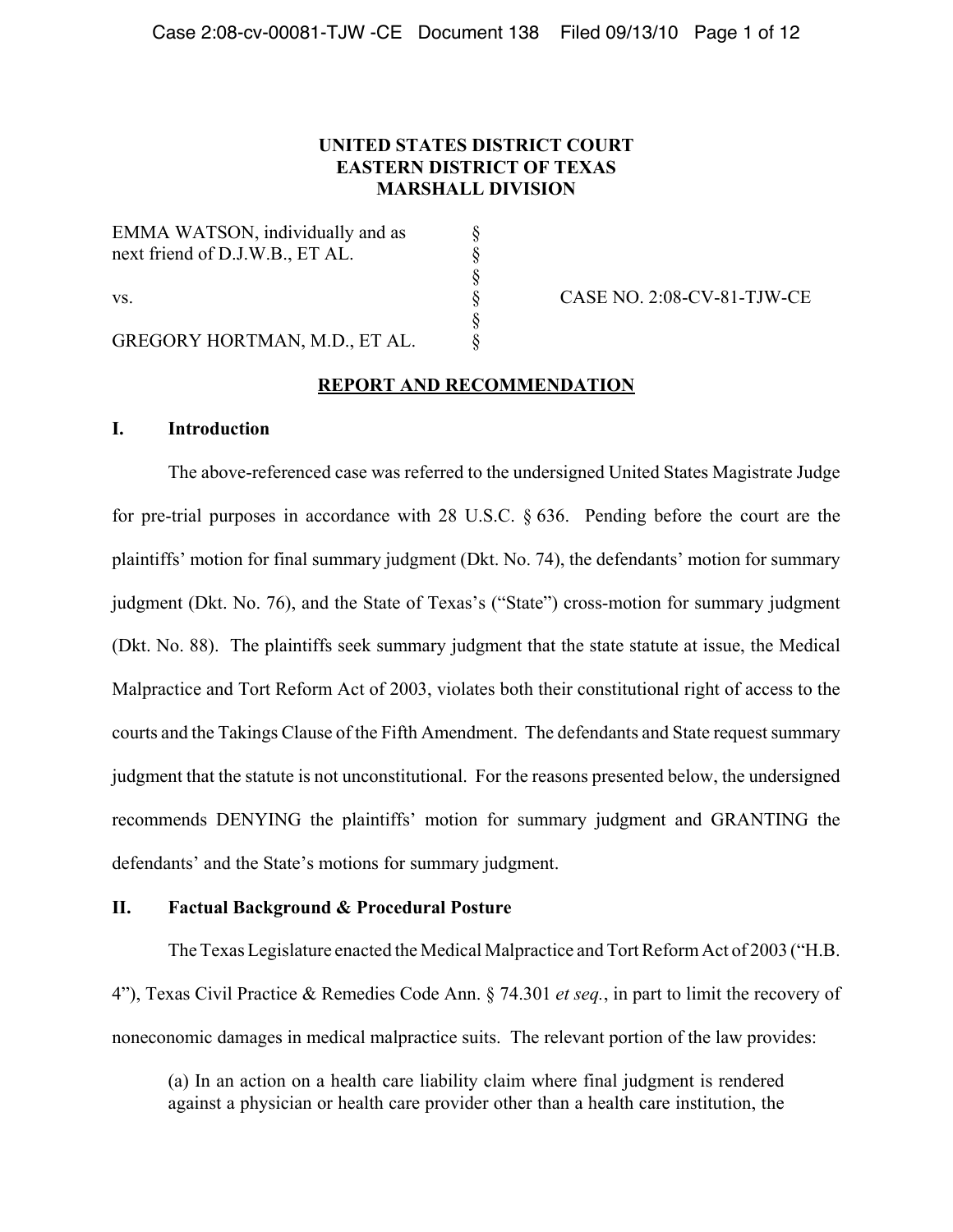## **UNITED STATES DISTRICT COURT EASTERN DISTRICT OF TEXAS MARSHALL DIVISION**

EMMA WATSON, individually and as  $\S$ next friend of D.J.W.B., ET AL.  $\S$ vs.  $\&\qquad \csc \&\qquad \text{CASE NO. 2:08-CV-81-TJW-CE}$ GREGORY HORTMAN, M.D., ET AL. §

### **REPORT AND RECOMMENDATION**

§

§

### **I. Introduction**

The above-referenced case was referred to the undersigned United States Magistrate Judge for pre-trial purposes in accordance with 28 U.S.C. § 636. Pending before the court are the plaintiffs' motion for final summary judgment (Dkt. No. 74), the defendants' motion for summary judgment (Dkt. No. 76), and the State of Texas's ("State") cross-motion for summary judgment (Dkt. No. 88). The plaintiffs seek summary judgment that the state statute at issue, the Medical Malpractice and Tort Reform Act of 2003, violates both their constitutional right of access to the courts and the Takings Clause of the Fifth Amendment. The defendants and State request summary judgment that the statute is not unconstitutional. For the reasons presented below, the undersigned recommends DENYING the plaintiffs' motion for summary judgment and GRANTING the defendants' and the State's motions for summary judgment.

## **II. Factual Background & Procedural Posture**

The Texas Legislature enacted the Medical Malpractice and Tort Reform Act of 2003 ("H.B. 4"), Texas Civil Practice & Remedies Code Ann. § 74.301 *et seq.*, in part to limit the recovery of noneconomic damages in medical malpractice suits. The relevant portion of the law provides:

(a) In an action on a health care liability claim where final judgment is rendered against a physician or health care provider other than a health care institution, the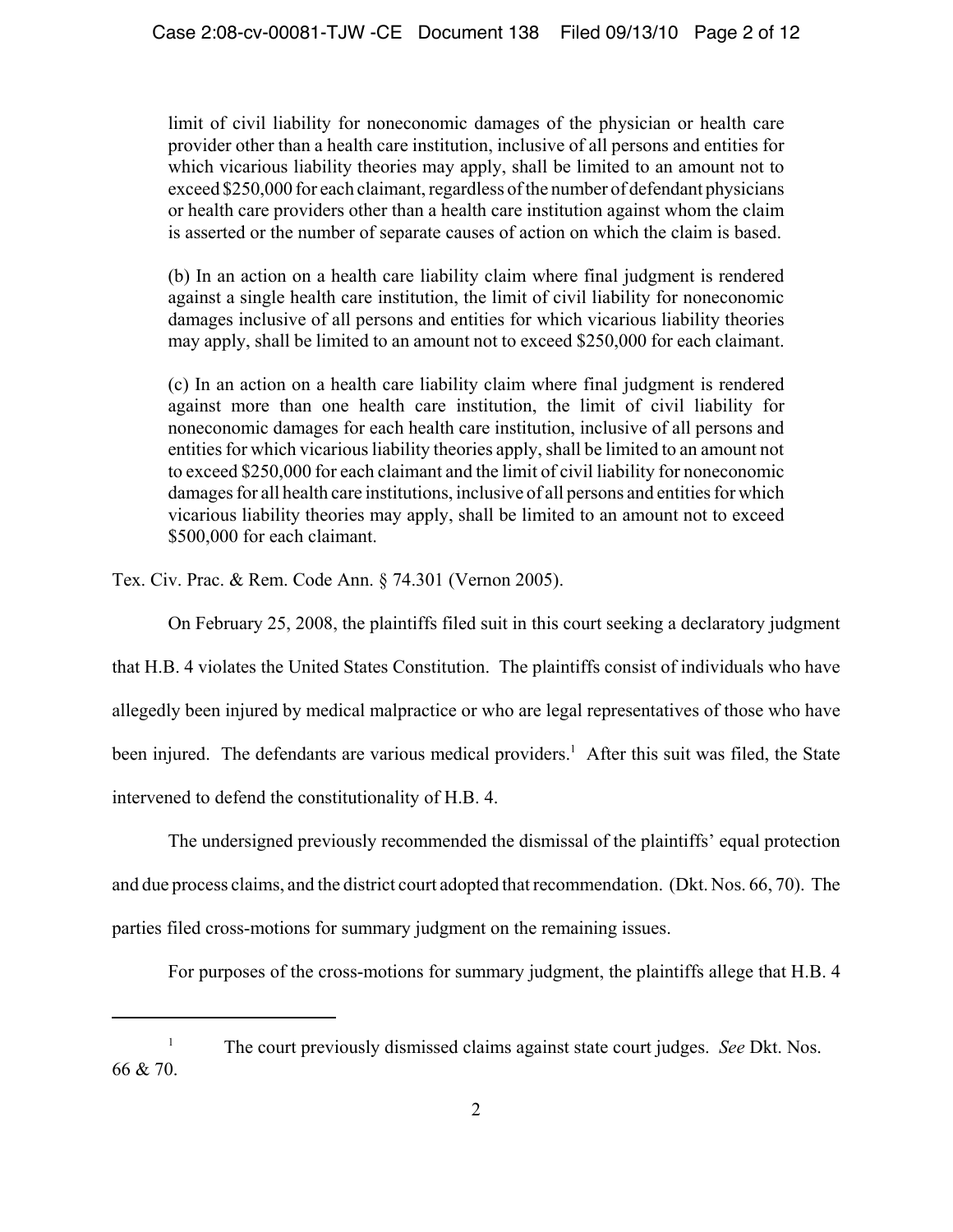limit of civil liability for noneconomic damages of the physician or health care provider other than a health care institution, inclusive of all persons and entities for which vicarious liability theories may apply, shall be limited to an amount not to exceed \$250,000 for each claimant, regardless of the number of defendant physicians or health care providers other than a health care institution against whom the claim is asserted or the number of separate causes of action on which the claim is based.

(b) In an action on a health care liability claim where final judgment is rendered against a single health care institution, the limit of civil liability for noneconomic damages inclusive of all persons and entities for which vicarious liability theories may apply, shall be limited to an amount not to exceed \$250,000 for each claimant.

(c) In an action on a health care liability claim where final judgment is rendered against more than one health care institution, the limit of civil liability for noneconomic damages for each health care institution, inclusive of all persons and entities for which vicarious liability theories apply, shall be limited to an amount not to exceed \$250,000 for each claimant and the limit of civil liability for noneconomic damages for all health care institutions, inclusive of all persons and entities for which vicarious liability theories may apply, shall be limited to an amount not to exceed \$500,000 for each claimant.

Tex. Civ. Prac. & Rem. Code Ann. § 74.301 (Vernon 2005).

On February 25, 2008, the plaintiffs filed suit in this court seeking a declaratory judgment

that H.B. 4 violates the United States Constitution. The plaintiffs consist of individuals who have allegedly been injured by medical malpractice or who are legal representatives of those who have been injured. The defendants are various medical providers.<sup>1</sup> After this suit was filed, the State intervened to defend the constitutionality of H.B. 4.

The undersigned previously recommended the dismissal of the plaintiffs' equal protection and due process claims, and the district court adopted that recommendation. (Dkt. Nos. 66, 70). The parties filed cross-motions for summary judgment on the remaining issues.

For purposes of the cross-motions for summary judgment, the plaintiffs allege that H.B. 4

<sup>&</sup>lt;sup>1</sup> The court previously dismissed claims against state court judges. *See* Dkt. Nos. 66 & 70.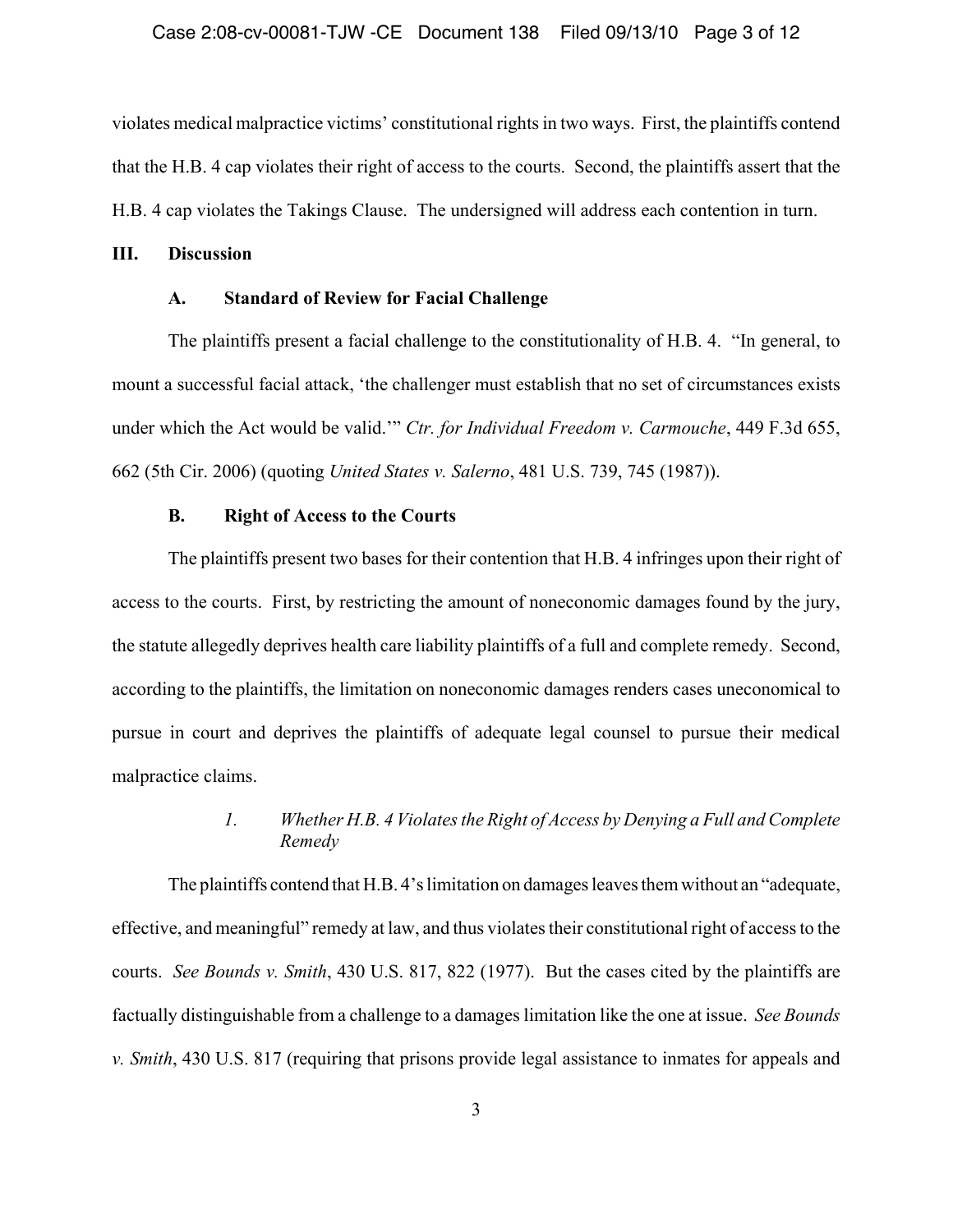### Case 2:08-cv-00081-TJW -CE Document 138 Filed 09/13/10 Page 3 of 12

violates medical malpractice victims' constitutional rights in two ways. First, the plaintiffs contend that the H.B. 4 cap violates their right of access to the courts. Second, the plaintiffs assert that the H.B. 4 cap violates the Takings Clause. The undersigned will address each contention in turn.

### **III. Discussion**

### **A. Standard of Review for Facial Challenge**

The plaintiffs present a facial challenge to the constitutionality of H.B. 4. "In general, to mount a successful facial attack, 'the challenger must establish that no set of circumstances exists under which the Act would be valid.'" *Ctr. for Individual Freedom v. Carmouche*, 449 F.3d 655, 662 (5th Cir. 2006) (quoting *United States v. Salerno*, 481 U.S. 739, 745 (1987)).

### **B. Right of Access to the Courts**

The plaintiffs present two bases for their contention that H.B. 4 infringes upon their right of access to the courts. First, by restricting the amount of noneconomic damages found by the jury, the statute allegedly deprives health care liability plaintiffs of a full and complete remedy. Second, according to the plaintiffs, the limitation on noneconomic damages renders cases uneconomical to pursue in court and deprives the plaintiffs of adequate legal counsel to pursue their medical malpractice claims.

# *1. Whether H.B. 4 Violates the Right of Access by Denying a Full and Complete Remedy*

The plaintiffs contend that H.B. 4's limitation on damages leaves them without an "adequate, effective, and meaningful" remedy at law, and thus violates their constitutional right of access to the courts. *See Bounds v. Smith*, 430 U.S. 817, 822 (1977). But the cases cited by the plaintiffs are factually distinguishable from a challenge to a damages limitation like the one at issue. *See Bounds v. Smith*, 430 U.S. 817 (requiring that prisons provide legal assistance to inmates for appeals and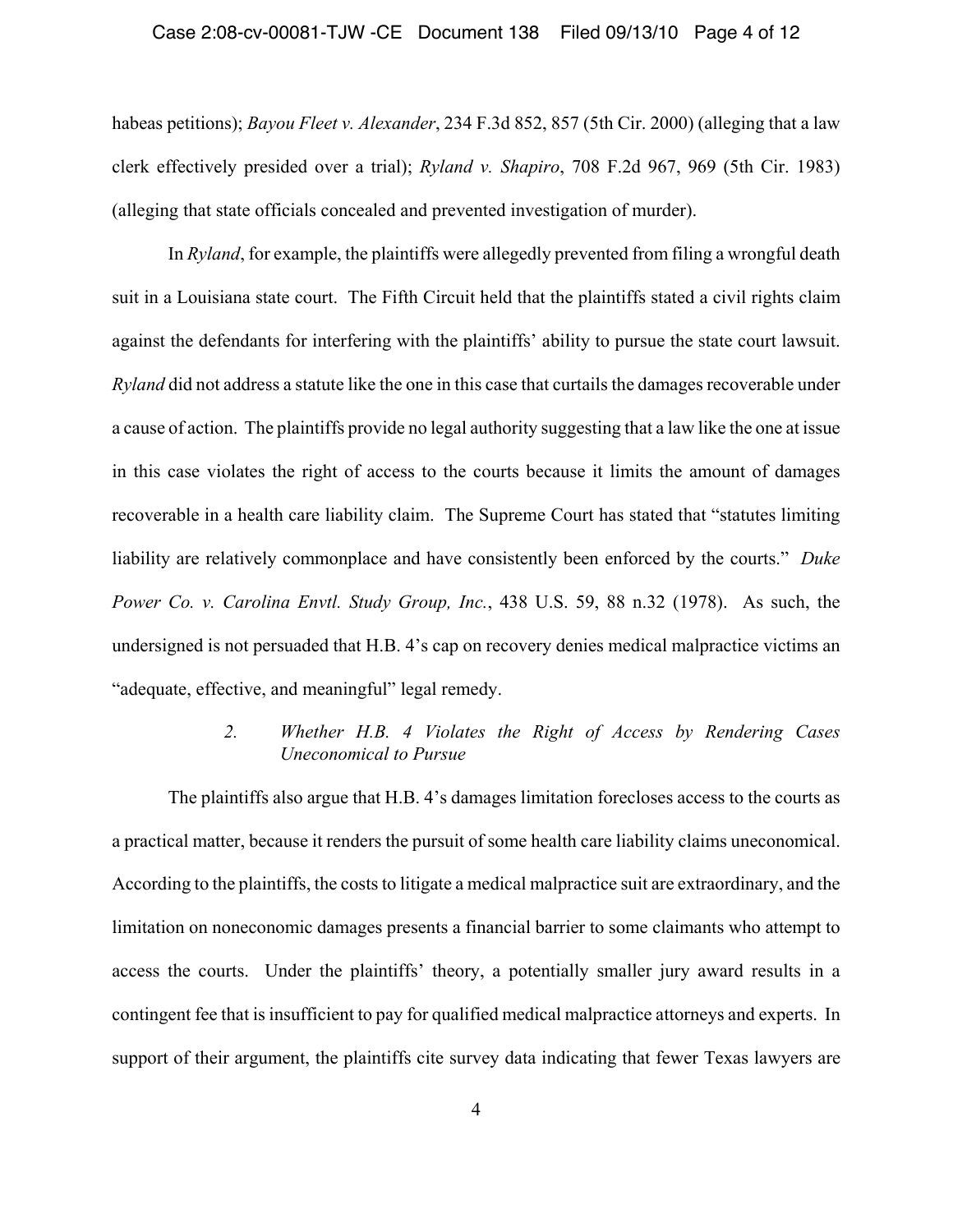### Case 2:08-cv-00081-TJW -CE Document 138 Filed 09/13/10 Page 4 of 12

habeas petitions); *Bayou Fleet v. Alexander*, 234 F.3d 852, 857 (5th Cir. 2000) (alleging that a law clerk effectively presided over a trial); *Ryland v. Shapiro*, 708 F.2d 967, 969 (5th Cir. 1983) (alleging that state officials concealed and prevented investigation of murder).

In *Ryland*, for example, the plaintiffs were allegedly prevented from filing a wrongful death suit in a Louisiana state court. The Fifth Circuit held that the plaintiffs stated a civil rights claim against the defendants for interfering with the plaintiffs' ability to pursue the state court lawsuit. *Ryland* did not address a statute like the one in this case that curtails the damages recoverable under a cause of action. The plaintiffs provide no legal authority suggesting that a law like the one at issue in this case violates the right of access to the courts because it limits the amount of damages recoverable in a health care liability claim. The Supreme Court has stated that "statutes limiting liability are relatively commonplace and have consistently been enforced by the courts." *Duke Power Co. v. Carolina Envtl. Study Group, Inc.*, 438 U.S. 59, 88 n.32 (1978). As such, the undersigned is not persuaded that H.B. 4's cap on recovery denies medical malpractice victims an "adequate, effective, and meaningful" legal remedy.

# *2. Whether H.B. 4 Violates the Right of Access by Rendering Cases Uneconomical to Pursue*

The plaintiffs also argue that H.B. 4's damages limitation forecloses access to the courts as a practical matter, because it renders the pursuit of some health care liability claims uneconomical. According to the plaintiffs, the costs to litigate a medical malpractice suit are extraordinary, and the limitation on noneconomic damages presents a financial barrier to some claimants who attempt to access the courts. Under the plaintiffs' theory, a potentially smaller jury award results in a contingent fee that is insufficient to pay for qualified medical malpractice attorneys and experts. In support of their argument, the plaintiffs cite survey data indicating that fewer Texas lawyers are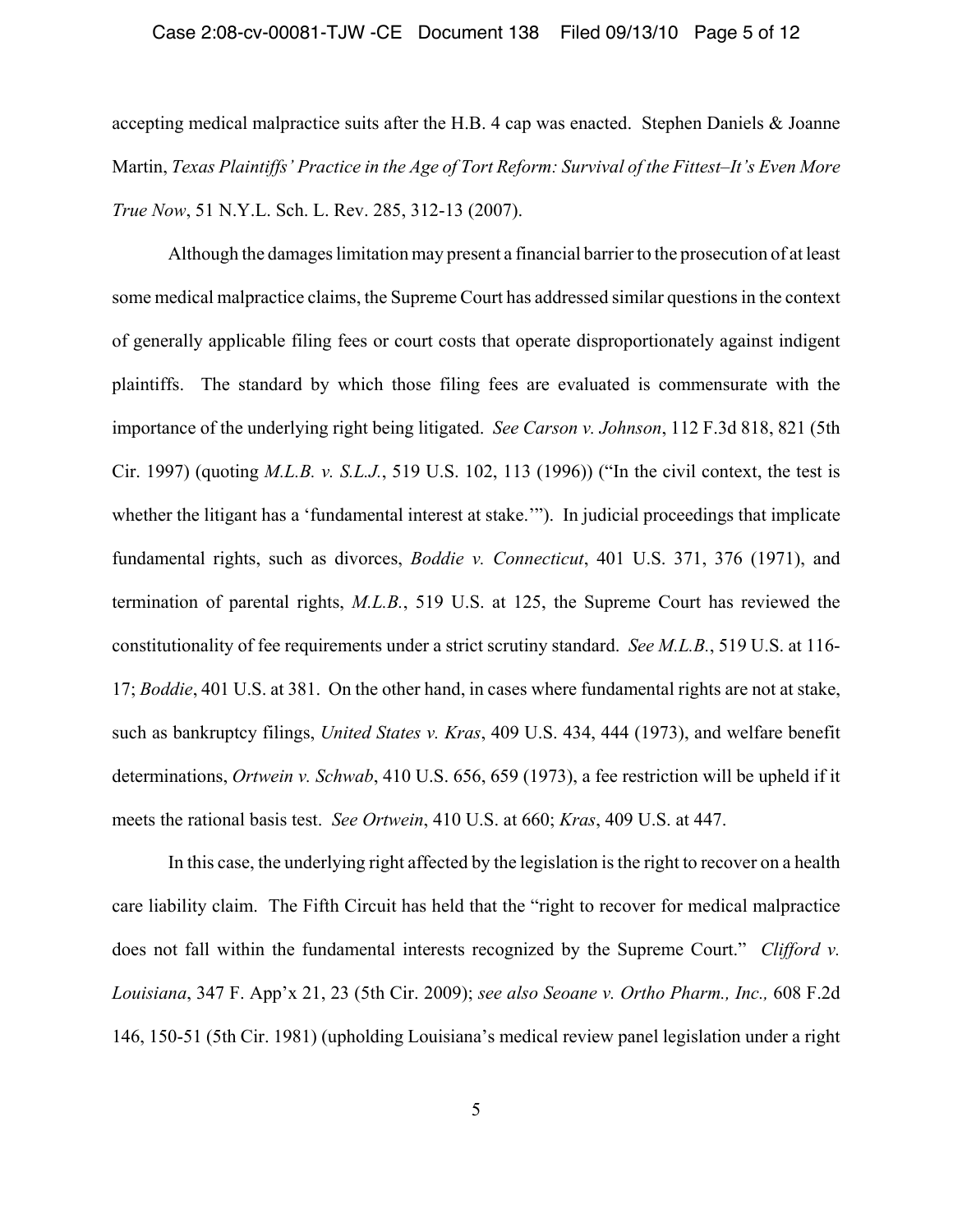### Case 2:08-cv-00081-TJW -CE Document 138 Filed 09/13/10 Page 5 of 12

accepting medical malpractice suits after the H.B. 4 cap was enacted. Stephen Daniels & Joanne Martin, *Texas Plaintiffs' Practice in the Age of Tort Reform: Survival of the Fittest–It's Even More True Now*, 51 N.Y.L. Sch. L. Rev. 285, 312-13 (2007).

Although the damages limitation may present a financial barrier to the prosecution of at least some medical malpractice claims, the Supreme Court has addressed similar questions in the context of generally applicable filing fees or court costs that operate disproportionately against indigent plaintiffs. The standard by which those filing fees are evaluated is commensurate with the importance of the underlying right being litigated. *See Carson v. Johnson*, 112 F.3d 818, 821 (5th Cir. 1997) (quoting *M.L.B. v. S.L.J.*, 519 U.S. 102, 113 (1996)) ("In the civil context, the test is whether the litigant has a 'fundamental interest at stake.'"). In judicial proceedings that implicate fundamental rights, such as divorces, *Boddie v. Connecticut*, 401 U.S. 371, 376 (1971), and termination of parental rights, *M.L.B.*, 519 U.S. at 125, the Supreme Court has reviewed the constitutionality of fee requirements under a strict scrutiny standard. *See M.L.B.*, 519 U.S. at 116- 17; *Boddie*, 401 U.S. at 381. On the other hand, in cases where fundamental rights are not at stake, such as bankruptcy filings, *United States v. Kras*, 409 U.S. 434, 444 (1973), and welfare benefit determinations, *Ortwein v. Schwab*, 410 U.S. 656, 659 (1973), a fee restriction will be upheld if it meets the rational basis test. *See Ortwein*, 410 U.S. at 660; *Kras*, 409 U.S. at 447.

In this case, the underlying right affected by the legislation is the right to recover on a health care liability claim. The Fifth Circuit has held that the "right to recover for medical malpractice does not fall within the fundamental interests recognized by the Supreme Court." *Clifford v. Louisiana*, 347 F. App'x 21, 23 (5th Cir. 2009); *see also Seoane v. Ortho Pharm., Inc.,* 608 F.2d 146, 150-51 (5th Cir. 1981) (upholding Louisiana's medical review panel legislation under a right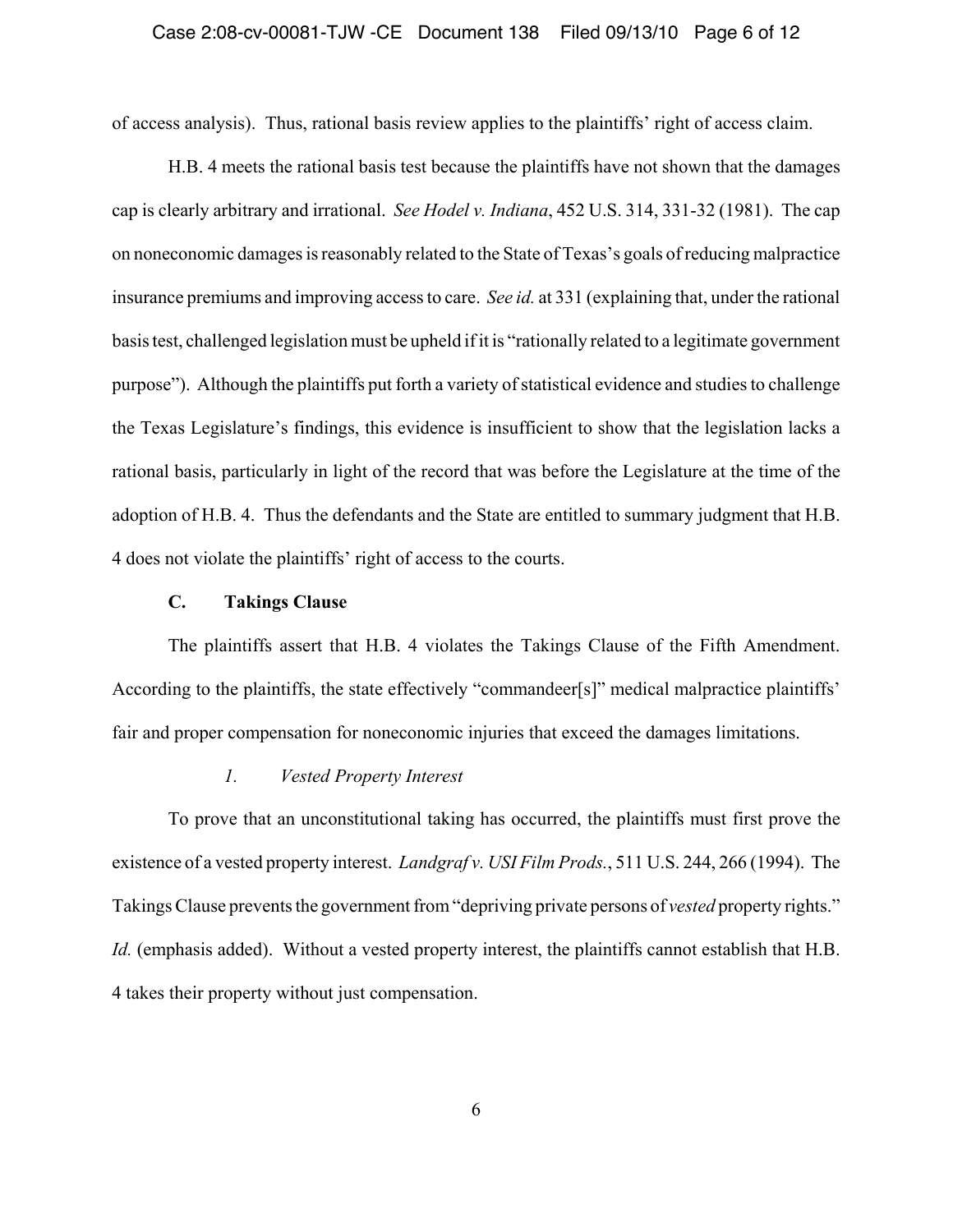### Case 2:08-cv-00081-TJW -CE Document 138 Filed 09/13/10 Page 6 of 12

of access analysis). Thus, rational basis review applies to the plaintiffs' right of access claim.

H.B. 4 meets the rational basis test because the plaintiffs have not shown that the damages cap is clearly arbitrary and irrational. *See Hodel v. Indiana*, 452 U.S. 314, 331-32 (1981). The cap on noneconomic damages is reasonably related to the State of Texas's goals of reducing malpractice insurance premiums and improving access to care. *See id.* at 331 (explaining that, under the rational basis test, challenged legislation must be upheld if it is "rationally related to a legitimate government purpose"). Although the plaintiffs put forth a variety of statistical evidence and studies to challenge the Texas Legislature's findings, this evidence is insufficient to show that the legislation lacks a rational basis, particularly in light of the record that was before the Legislature at the time of the adoption of H.B. 4. Thus the defendants and the State are entitled to summary judgment that H.B. 4 does not violate the plaintiffs' right of access to the courts.

## **C. Takings Clause**

The plaintiffs assert that H.B. 4 violates the Takings Clause of the Fifth Amendment. According to the plaintiffs, the state effectively "commandeer[s]" medical malpractice plaintiffs' fair and proper compensation for noneconomic injuries that exceed the damages limitations.

## *1. Vested Property Interest*

To prove that an unconstitutional taking has occurred, the plaintiffs must first prove the existence of a vested property interest. *Landgraf v. USI Film Prods.*, 511 U.S. 244, 266 (1994). The Takings Clause prevents the government from "depriving private persons of *vested* property rights." *Id.* (emphasis added). Without a vested property interest, the plaintiffs cannot establish that H.B. 4 takes their property without just compensation.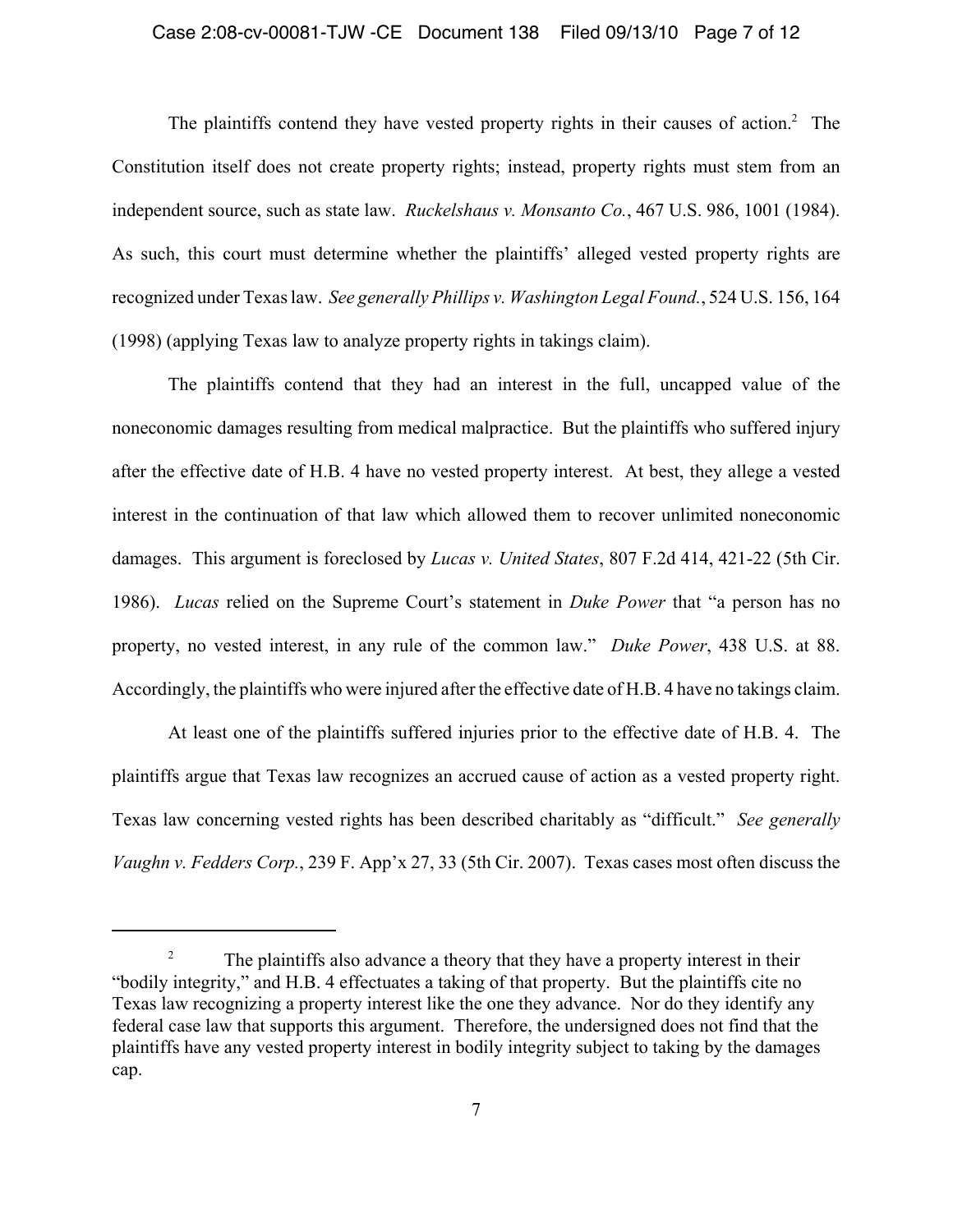### Case 2:08-cv-00081-TJW -CE Document 138 Filed 09/13/10 Page 7 of 12

The plaintiffs contend they have vested property rights in their causes of action. $2$  The Constitution itself does not create property rights; instead, property rights must stem from an independent source, such as state law. *Ruckelshaus v. Monsanto Co.*, 467 U.S. 986, 1001 (1984). As such, this court must determine whether the plaintiffs' alleged vested property rights are recognized under Texas law. *See generally Phillips v. Washington Legal Found.*, 524 U.S. 156, 164 (1998) (applying Texas law to analyze property rights in takings claim).

The plaintiffs contend that they had an interest in the full, uncapped value of the noneconomic damages resulting from medical malpractice. But the plaintiffs who suffered injury after the effective date of H.B. 4 have no vested property interest. At best, they allege a vested interest in the continuation of that law which allowed them to recover unlimited noneconomic damages. This argument is foreclosed by *Lucas v. United States*, 807 F.2d 414, 421-22 (5th Cir. 1986). *Lucas* relied on the Supreme Court's statement in *Duke Power* that "a person has no property, no vested interest, in any rule of the common law." *Duke Power*, 438 U.S. at 88. Accordingly, the plaintiffs who were injured after the effective date of H.B. 4 have no takings claim.

At least one of the plaintiffs suffered injuries prior to the effective date of H.B. 4. The plaintiffs argue that Texas law recognizes an accrued cause of action as a vested property right. Texas law concerning vested rights has been described charitably as "difficult." *See generally Vaughn v. Fedders Corp.*, 239 F. App'x 27, 33 (5th Cir. 2007). Texas cases most often discuss the

<sup>&</sup>lt;sup>2</sup> The plaintiffs also advance a theory that they have a property interest in their "bodily integrity," and H.B. 4 effectuates a taking of that property. But the plaintiffs cite no Texas law recognizing a property interest like the one they advance. Nor do they identify any federal case law that supports this argument. Therefore, the undersigned does not find that the plaintiffs have any vested property interest in bodily integrity subject to taking by the damages cap.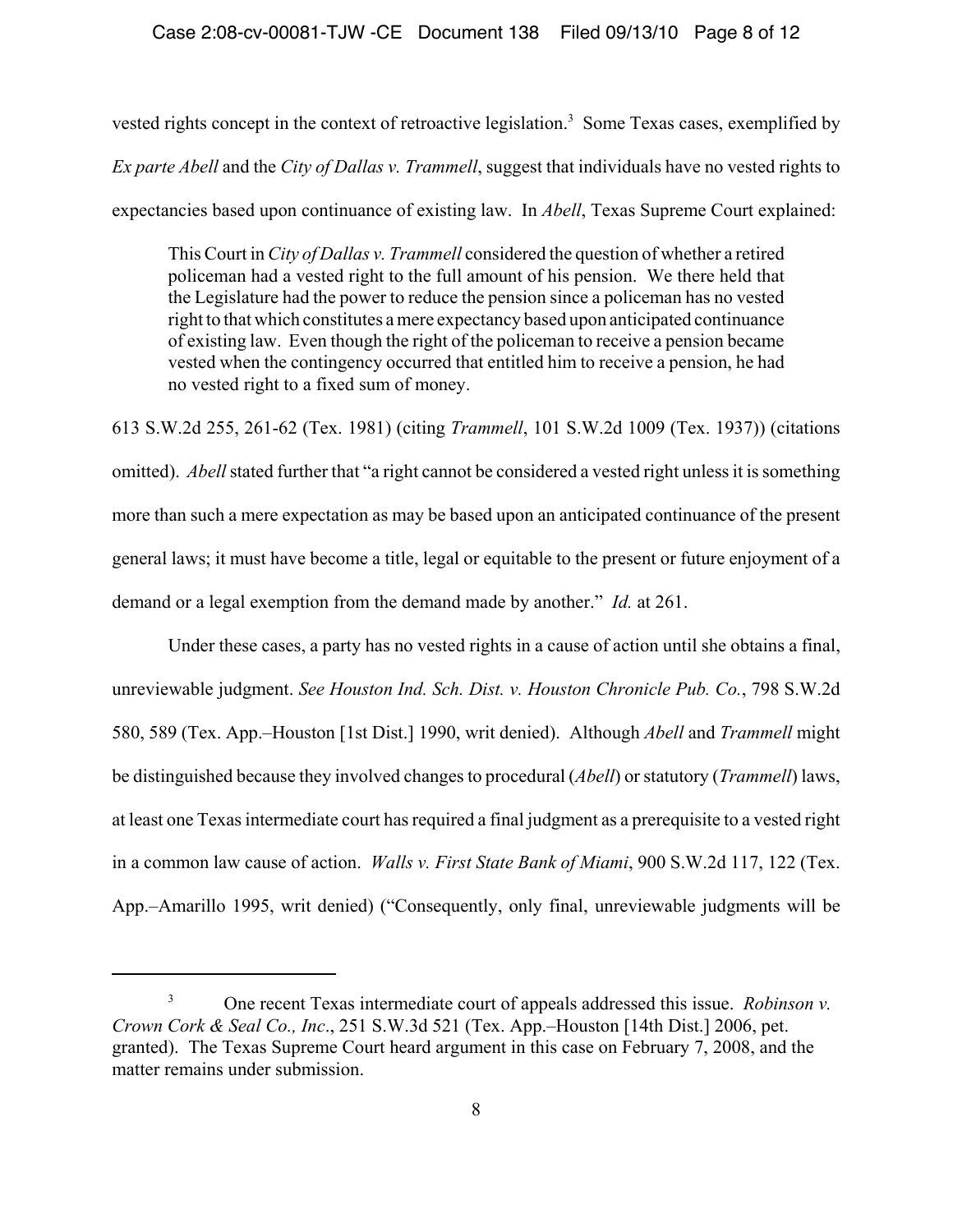vested rights concept in the context of retroactive legislation.<sup>3</sup> Some Texas cases, exemplified by *Ex parte Abell* and the *City of Dallas v. Trammell*, suggest that individuals have no vested rights to expectancies based upon continuance of existing law. In *Abell*, Texas Supreme Court explained:

This Court in *City of Dallas v. Trammell* considered the question of whether a retired policeman had a vested right to the full amount of his pension. We there held that the Legislature had the power to reduce the pension since a policeman has no vested right to that which constitutes a mere expectancy based upon anticipated continuance of existing law. Even though the right of the policeman to receive a pension became vested when the contingency occurred that entitled him to receive a pension, he had no vested right to a fixed sum of money.

613 S.W.2d 255, 261-62 (Tex. 1981) (citing *Trammell*, 101 S.W.2d 1009 (Tex. 1937)) (citations omitted). *Abell* stated further that "a right cannot be considered a vested right unless it is something more than such a mere expectation as may be based upon an anticipated continuance of the present general laws; it must have become a title, legal or equitable to the present or future enjoyment of a demand or a legal exemption from the demand made by another." *Id.* at 261.

Under these cases, a party has no vested rights in a cause of action until she obtains a final, unreviewable judgment. *See Houston Ind. Sch. Dist. v. Houston Chronicle Pub. Co.*, 798 S.W.2d 580, 589 (Tex. App.–Houston [1st Dist.] 1990, writ denied). Although *Abell* and *Trammell* might be distinguished because they involved changes to procedural (*Abell*) or statutory (*Trammell*) laws, at least one Texas intermediate court has required a final judgment as a prerequisite to a vested right in a common law cause of action. *Walls v. First State Bank of Miami*, 900 S.W.2d 117, 122 (Tex. App.–Amarillo 1995, writ denied) ("Consequently, only final, unreviewable judgments will be

<sup>3</sup> One recent Texas intermediate court of appeals addressed this issue. *Robinson v. Crown Cork & Seal Co., Inc*., 251 S.W.3d 521 (Tex. App.–Houston [14th Dist.] 2006, pet. granted). The Texas Supreme Court heard argument in this case on February 7, 2008, and the matter remains under submission.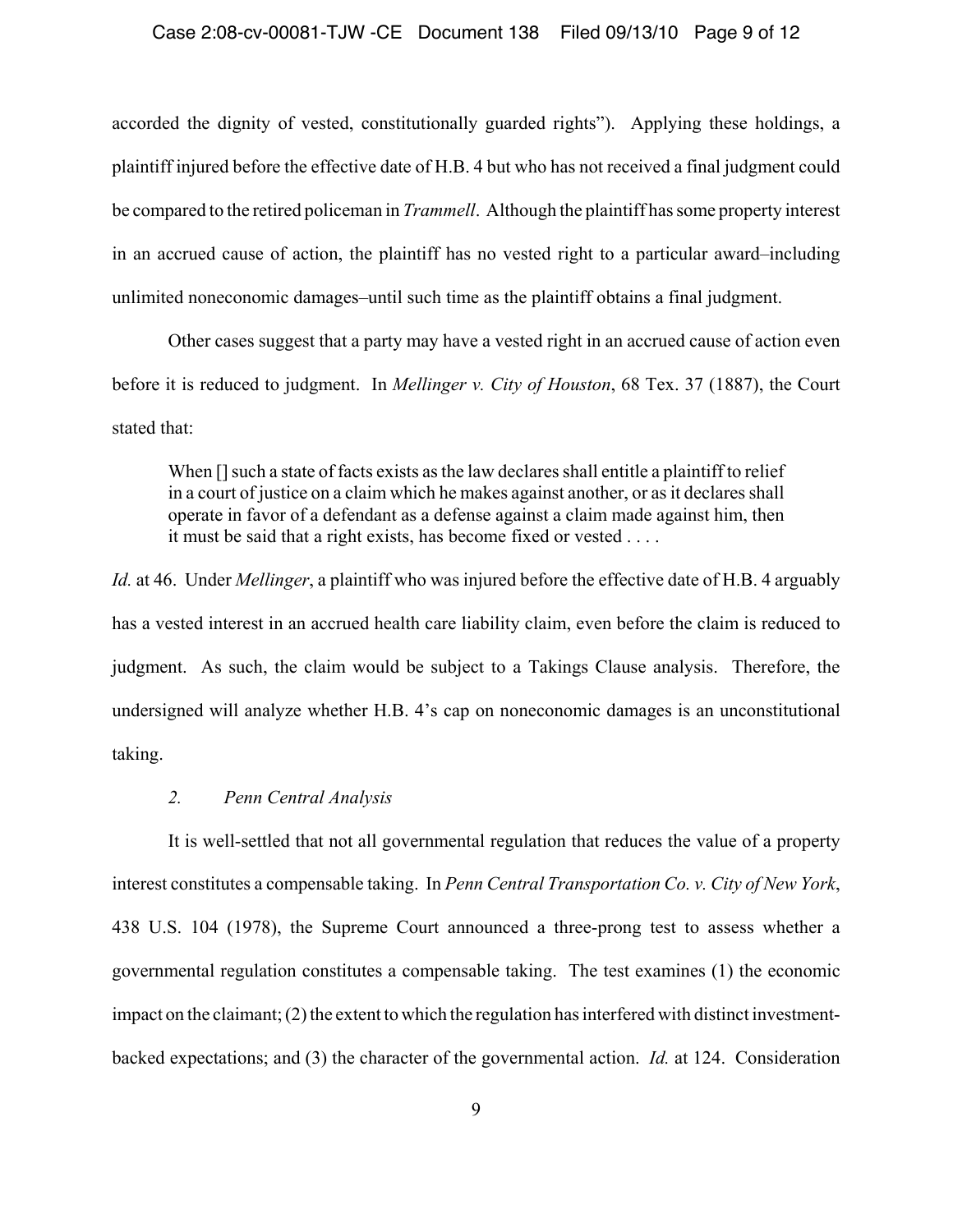### Case 2:08-cv-00081-TJW -CE Document 138 Filed 09/13/10 Page 9 of 12

accorded the dignity of vested, constitutionally guarded rights"). Applying these holdings, a plaintiff injured before the effective date of H.B. 4 but who has not received a final judgment could be compared to the retired policeman in *Trammell*. Although the plaintiff has some property interest in an accrued cause of action, the plaintiff has no vested right to a particular award–including unlimited noneconomic damages–until such time as the plaintiff obtains a final judgment.

Other cases suggest that a party may have a vested right in an accrued cause of action even before it is reduced to judgment. In *Mellinger v. City of Houston*, 68 Tex. 37 (1887), the Court stated that:

When  $\prod$  such a state of facts exists as the law declares shall entitle a plaintiff to relief in a court of justice on a claim which he makes against another, or as it declares shall operate in favor of a defendant as a defense against a claim made against him, then it must be said that a right exists, has become fixed or vested . . . .

*Id.* at 46. Under *Mellinger*, a plaintiff who was injured before the effective date of H.B. 4 arguably has a vested interest in an accrued health care liability claim, even before the claim is reduced to judgment. As such, the claim would be subject to a Takings Clause analysis. Therefore, the undersigned will analyze whether H.B. 4's cap on noneconomic damages is an unconstitutional taking.

## *2. Penn Central Analysis*

It is well-settled that not all governmental regulation that reduces the value of a property interest constitutes a compensable taking. In *Penn Central Transportation Co. v. City of New York*, 438 U.S. 104 (1978), the Supreme Court announced a three-prong test to assess whether a governmental regulation constitutes a compensable taking. The test examines (1) the economic impact on the claimant; (2) the extent to which the regulation has interfered with distinct investmentbacked expectations; and (3) the character of the governmental action. *Id.* at 124. Consideration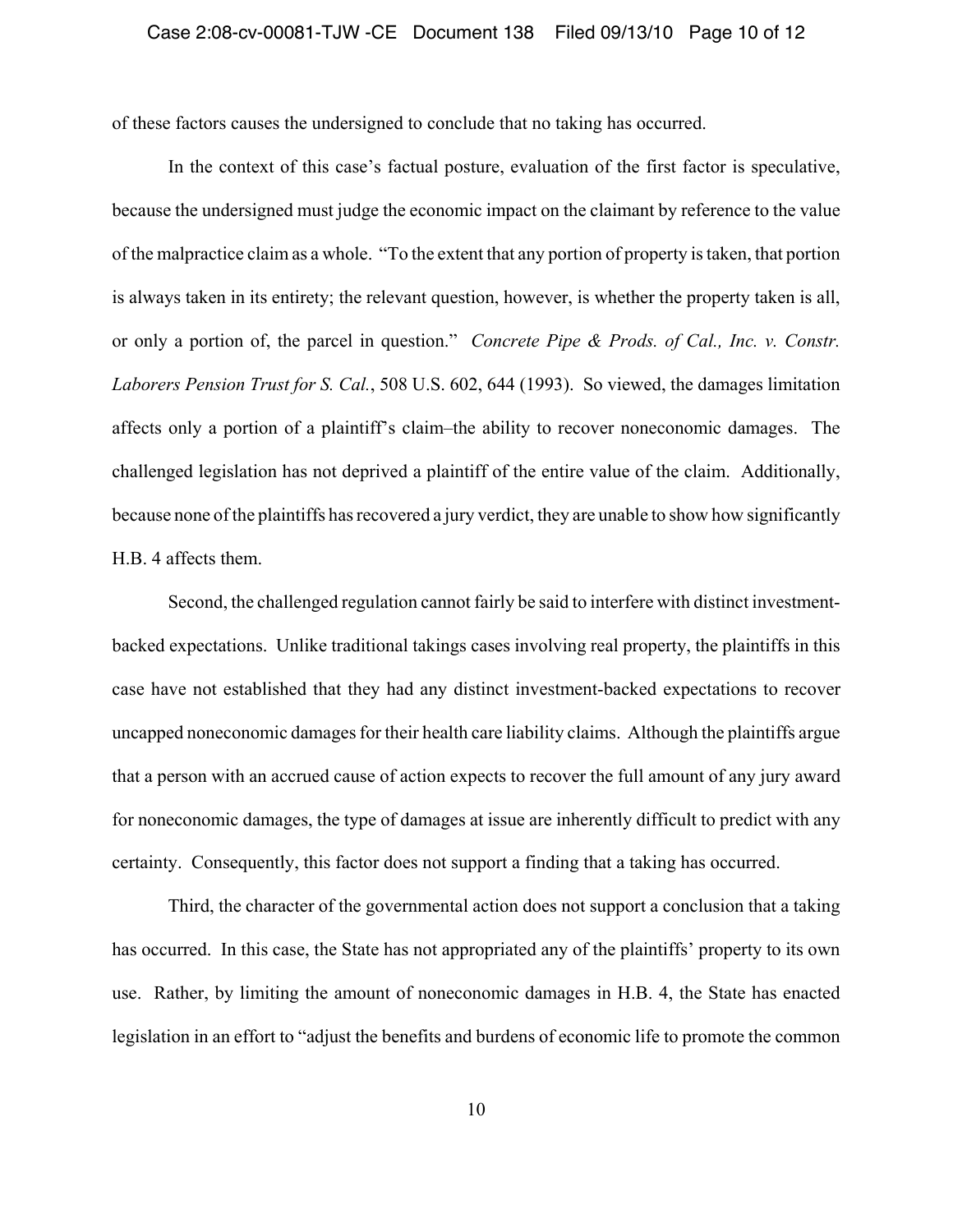of these factors causes the undersigned to conclude that no taking has occurred.

In the context of this case's factual posture, evaluation of the first factor is speculative, because the undersigned must judge the economic impact on the claimant by reference to the value of the malpractice claim as a whole. "To the extent that any portion of property is taken, that portion is always taken in its entirety; the relevant question, however, is whether the property taken is all, or only a portion of, the parcel in question." *Concrete Pipe & Prods. of Cal., Inc. v. Constr. Laborers Pension Trust for S. Cal.*, 508 U.S. 602, 644 (1993). So viewed, the damages limitation affects only a portion of a plaintiff's claim–the ability to recover noneconomic damages. The challenged legislation has not deprived a plaintiff of the entire value of the claim. Additionally, because none of the plaintiffs has recovered a jury verdict, they are unable to show how significantly H.B. 4 affects them.

Second, the challenged regulation cannot fairly be said to interfere with distinct investmentbacked expectations. Unlike traditional takings cases involving real property, the plaintiffs in this case have not established that they had any distinct investment-backed expectations to recover uncapped noneconomic damages for their health care liability claims. Although the plaintiffs argue that a person with an accrued cause of action expects to recover the full amount of any jury award for noneconomic damages, the type of damages at issue are inherently difficult to predict with any certainty. Consequently, this factor does not support a finding that a taking has occurred.

Third, the character of the governmental action does not support a conclusion that a taking has occurred. In this case, the State has not appropriated any of the plaintiffs' property to its own use. Rather, by limiting the amount of noneconomic damages in H.B. 4, the State has enacted legislation in an effort to "adjust the benefits and burdens of economic life to promote the common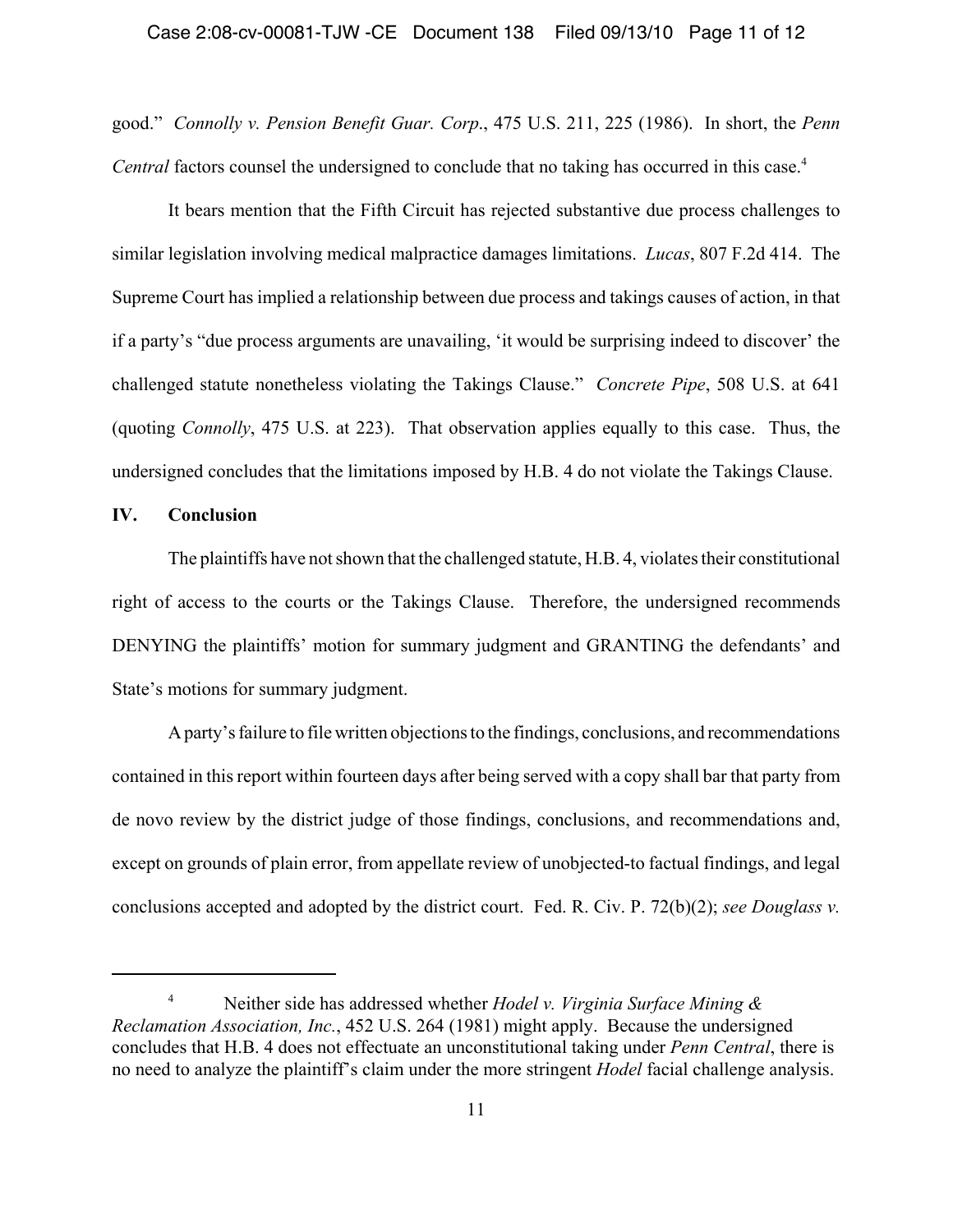good." *Connolly v. Pension Benefit Guar. Corp*., 475 U.S. 211, 225 (1986). In short, the *Penn Central* factors counsel the undersigned to conclude that no taking has occurred in this case.<sup>4</sup>

It bears mention that the Fifth Circuit has rejected substantive due process challenges to similar legislation involving medical malpractice damages limitations. *Lucas*, 807 F.2d 414. The Supreme Court has implied a relationship between due process and takings causes of action, in that if a party's "due process arguments are unavailing, 'it would be surprising indeed to discover' the challenged statute nonetheless violating the Takings Clause." *Concrete Pipe*, 508 U.S. at 641 (quoting *Connolly*, 475 U.S. at 223). That observation applies equally to this case. Thus, the undersigned concludes that the limitations imposed by H.B. 4 do not violate the Takings Clause.

## **IV. Conclusion**

The plaintiffs have not shown that the challenged statute, H.B. 4, violates their constitutional right of access to the courts or the Takings Clause. Therefore, the undersigned recommends DENYING the plaintiffs' motion for summary judgment and GRANTING the defendants' and State's motions for summary judgment.

A party's failure to file written objections to the findings, conclusions, and recommendations contained in this report within fourteen days after being served with a copy shall bar that party from de novo review by the district judge of those findings, conclusions, and recommendations and, except on grounds of plain error, from appellate review of unobjected-to factual findings, and legal conclusions accepted and adopted by the district court. Fed. R. Civ. P. 72(b)(2); *see Douglass v.*

<sup>4</sup> Neither side has addressed whether *Hodel v. Virginia Surface Mining & Reclamation Association, Inc.*, 452 U.S. 264 (1981) might apply. Because the undersigned concludes that H.B. 4 does not effectuate an unconstitutional taking under *Penn Central*, there is no need to analyze the plaintiff's claim under the more stringent *Hodel* facial challenge analysis.